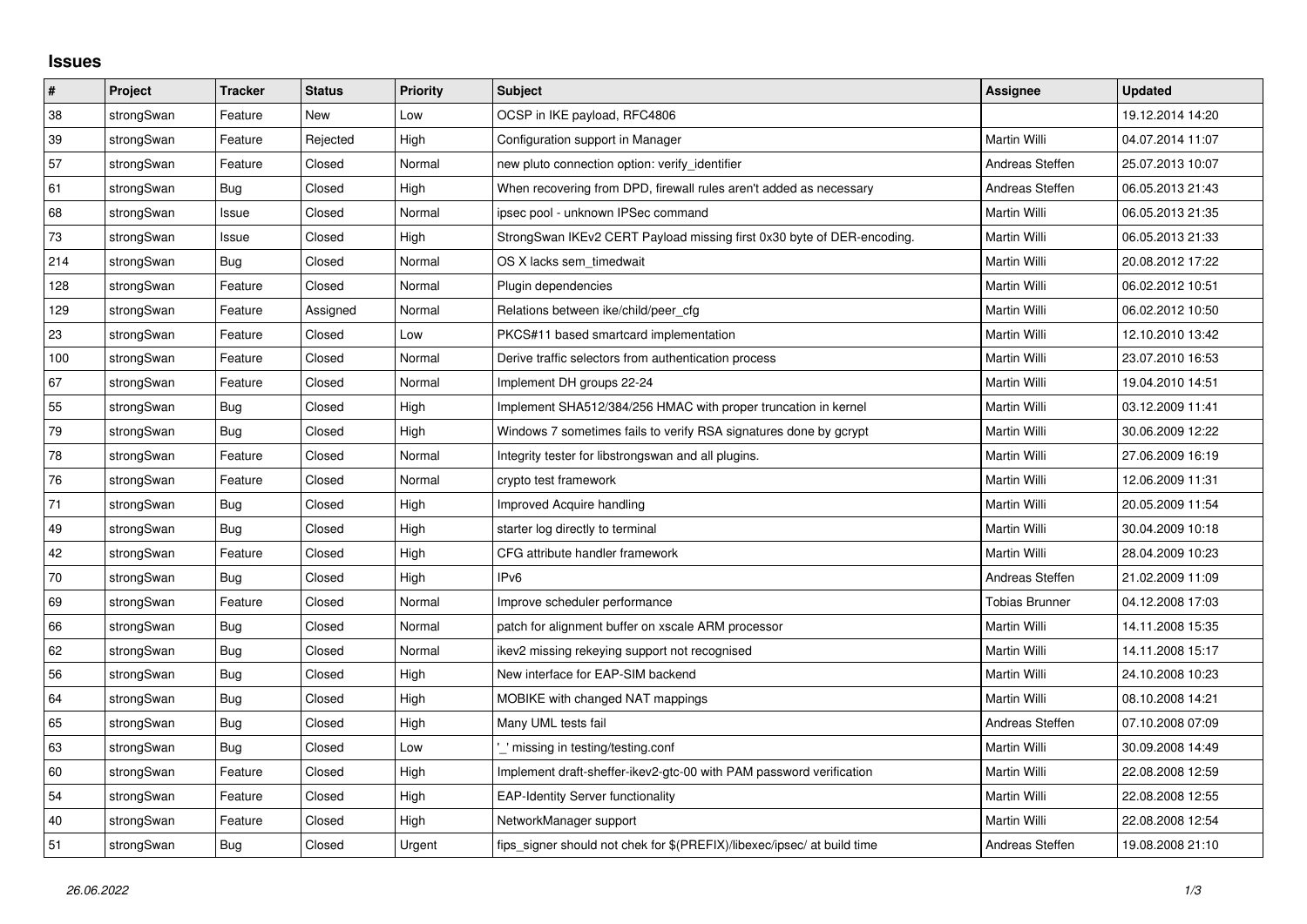## **Issues**

| $\pmb{\sharp}$ | Project    | <b>Tracker</b> | <b>Status</b> | <b>Priority</b> | <b>Subject</b>                                                          | <b>Assignee</b>       | <b>Updated</b>   |
|----------------|------------|----------------|---------------|-----------------|-------------------------------------------------------------------------|-----------------------|------------------|
| 38             | strongSwan | Feature        | New           | Low             | OCSP in IKE payload, RFC4806                                            |                       | 19.12.2014 14:20 |
| 39             | strongSwan | Feature        | Rejected      | High            | Configuration support in Manager                                        | Martin Willi          | 04.07.2014 11:07 |
| 57             | strongSwan | Feature        | Closed        | Normal          | new pluto connection option: verify_identifier                          | Andreas Steffen       | 25.07.2013 10:07 |
| 61             | strongSwan | Bug            | Closed        | High            | When recovering from DPD, firewall rules aren't added as necessary      | Andreas Steffen       | 06.05.2013 21:43 |
| 68             | strongSwan | Issue          | Closed        | Normal          | ipsec pool - unknown IPSec command                                      | Martin Willi          | 06.05.2013 21:35 |
| $73\,$         | strongSwan | Issue          | Closed        | High            | StrongSwan IKEv2 CERT Payload missing first 0x30 byte of DER-encoding.  | Martin Willi          | 06.05.2013 21:33 |
| 214            | strongSwan | Bug            | Closed        | Normal          | OS X lacks sem timedwait                                                | Martin Willi          | 20.08.2012 17:22 |
| 128            | strongSwan | Feature        | Closed        | Normal          | Plugin dependencies                                                     | Martin Willi          | 06.02.2012 10:51 |
| 129            | strongSwan | Feature        | Assigned      | Normal          | Relations between ike/child/peer cfg                                    | Martin Willi          | 06.02.2012 10:50 |
| 23             | strongSwan | Feature        | Closed        | Low             | PKCS#11 based smartcard implementation                                  | Martin Willi          | 12.10.2010 13:42 |
| 100            | strongSwan | Feature        | Closed        | Normal          | Derive traffic selectors from authentication process                    | Martin Willi          | 23.07.2010 16:53 |
| 67             | strongSwan | Feature        | Closed        | Normal          | Implement DH groups 22-24                                               | Martin Willi          | 19.04.2010 14:51 |
| 55             | strongSwan | <b>Bug</b>     | Closed        | High            | Implement SHA512/384/256 HMAC with proper truncation in kernel          | Martin Willi          | 03.12.2009 11:41 |
| 79             | strongSwan | Bug            | Closed        | High            | Windows 7 sometimes fails to verify RSA signatures done by gcrypt       | Martin Willi          | 30.06.2009 12:22 |
| 78             | strongSwan | Feature        | Closed        | Normal          | Integrity tester for libstrongswan and all plugins.                     | Martin Willi          | 27.06.2009 16:19 |
| 76             | strongSwan | Feature        | Closed        | Normal          | crypto test framework                                                   | Martin Willi          | 12.06.2009 11:31 |
| 71             | strongSwan | Bug            | Closed        | High            | Improved Acquire handling                                               | Martin Willi          | 20.05.2009 11:54 |
| 49             | strongSwan | Bug            | Closed        | High            | starter log directly to terminal                                        | Martin Willi          | 30.04.2009 10:18 |
| 42             | strongSwan | Feature        | Closed        | High            | CFG attribute handler framework                                         | Martin Willi          | 28.04.2009 10:23 |
| 70             | strongSwan | Bug            | Closed        | High            | IP <sub>v6</sub>                                                        | Andreas Steffen       | 21.02.2009 11:09 |
| 69             | strongSwan | Feature        | Closed        | Normal          | Improve scheduler performance                                           | <b>Tobias Brunner</b> | 04.12.2008 17:03 |
| 66             | strongSwan | Bug            | Closed        | Normal          | patch for alignment buffer on xscale ARM processor                      | Martin Willi          | 14.11.2008 15:35 |
| 62             | strongSwan | Bug            | Closed        | Normal          | ikev2 missing rekeying support not recognised                           | Martin Willi          | 14.11.2008 15:17 |
| 56             | strongSwan | <b>Bug</b>     | Closed        | High            | New interface for EAP-SIM backend                                       | Martin Willi          | 24.10.2008 10:23 |
| 64             | strongSwan | Bug            | Closed        | High            | MOBIKE with changed NAT mappings                                        | <b>Martin Willi</b>   | 08.10.2008 14:21 |
| 65             | strongSwan | Bug            | Closed        | High            | Many UML tests fail                                                     | Andreas Steffen       | 07.10.2008 07:09 |
| 63             | strongSwan | Bug            | Closed        | Low             | ' missing in testing/testing.conf                                       | Martin Willi          | 30.09.2008 14:49 |
| 60             | strongSwan | Feature        | Closed        | High            | Implement draft-sheffer-ikev2-gtc-00 with PAM password verification     | Martin Willi          | 22.08.2008 12:59 |
| 54             | strongSwan | Feature        | Closed        | High            | <b>EAP-Identity Server functionality</b>                                | Martin Willi          | 22.08.2008 12:55 |
| 40             | strongSwan | Feature        | Closed        | High            | NetworkManager support                                                  | Martin Willi          | 22.08.2008 12:54 |
| 51             | strongSwan | Bug            | Closed        | Urgent          | fips_signer should not chek for \$(PREFIX)/libexec/ipsec/ at build time | Andreas Steffen       | 19.08.2008 21:10 |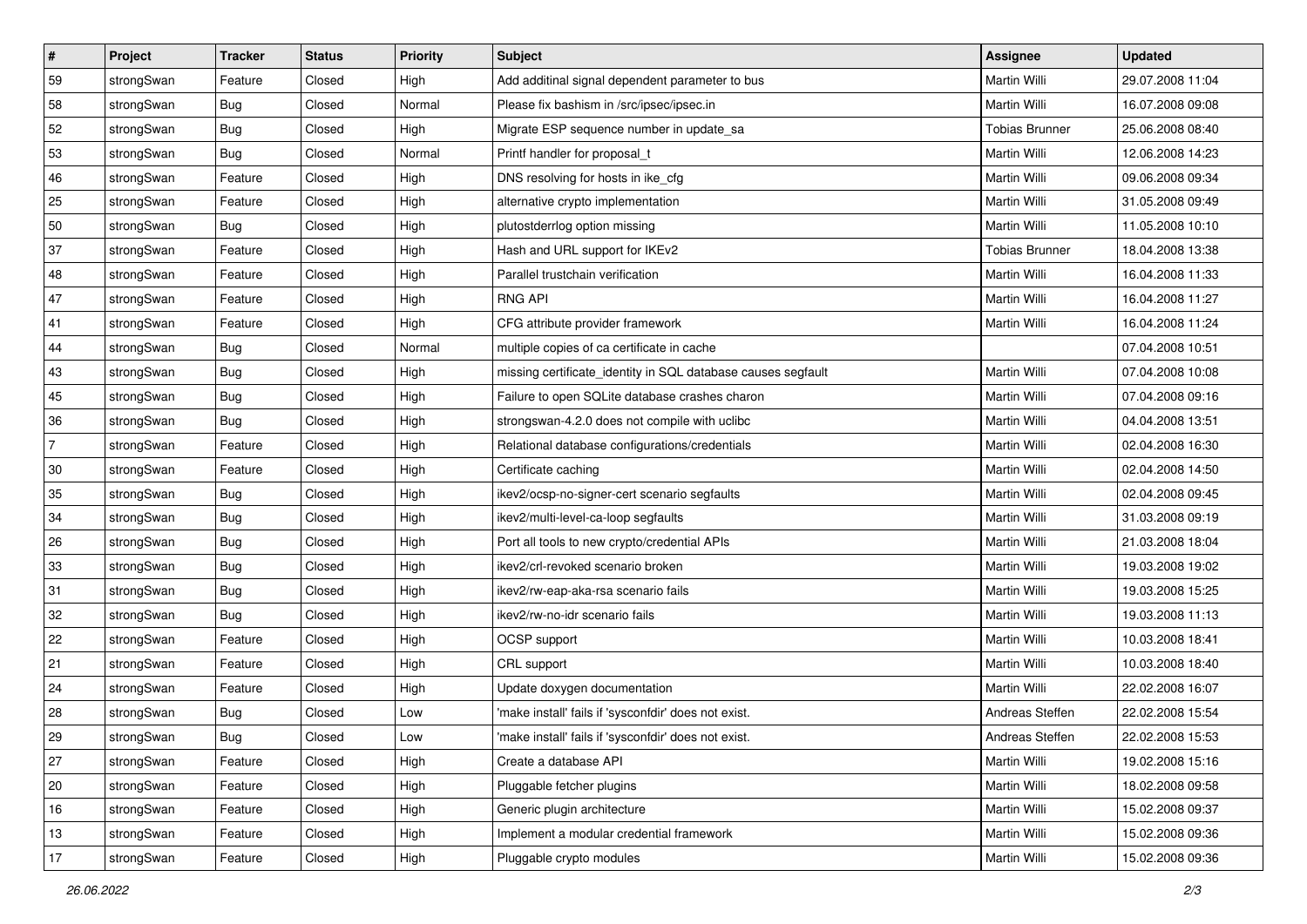| #              | Project    | <b>Tracker</b> | <b>Status</b> | <b>Priority</b> | <b>Subject</b>                                               | Assignee              | <b>Updated</b>   |
|----------------|------------|----------------|---------------|-----------------|--------------------------------------------------------------|-----------------------|------------------|
| 59             | strongSwan | Feature        | Closed        | High            | Add additinal signal dependent parameter to bus              | Martin Willi          | 29.07.2008 11:04 |
| 58             | strongSwan | Bug            | Closed        | Normal          | Please fix bashism in /src/ipsec/ipsec.in                    | <b>Martin Willi</b>   | 16.07.2008 09:08 |
| 52             | strongSwan | Bug            | Closed        | High            | Migrate ESP sequence number in update_sa                     | <b>Tobias Brunner</b> | 25.06.2008 08:40 |
| 53             | strongSwan | Bug            | Closed        | Normal          | Printf handler for proposal_t                                | Martin Willi          | 12.06.2008 14:23 |
| 46             | strongSwan | Feature        | Closed        | High            | DNS resolving for hosts in ike_cfg                           | Martin Willi          | 09.06.2008 09:34 |
| 25             | strongSwan | Feature        | Closed        | High            | alternative crypto implementation                            | Martin Willi          | 31.05.2008 09:49 |
| 50             | strongSwan | Bug            | Closed        | High            | plutostderrlog option missing                                | Martin Willi          | 11.05.2008 10:10 |
| 37             | strongSwan | Feature        | Closed        | High            | Hash and URL support for IKEv2                               | <b>Tobias Brunner</b> | 18.04.2008 13:38 |
| 48             | strongSwan | Feature        | Closed        | High            | Parallel trustchain verification                             | Martin Willi          | 16.04.2008 11:33 |
| 47             | strongSwan | Feature        | Closed        | High            | <b>RNG API</b>                                               | Martin Willi          | 16.04.2008 11:27 |
| 41             | strongSwan | Feature        | Closed        | High            | CFG attribute provider framework                             | Martin Willi          | 16.04.2008 11:24 |
| 44             | strongSwan | <b>Bug</b>     | Closed        | Normal          | multiple copies of ca certificate in cache                   |                       | 07.04.2008 10:51 |
| 43             | strongSwan | Bug            | Closed        | High            | missing certificate_identity in SQL database causes segfault | Martin Willi          | 07.04.2008 10:08 |
| 45             | strongSwan | Bug            | Closed        | High            | Failure to open SQLite database crashes charon               | Martin Willi          | 07.04.2008 09:16 |
| 36             | strongSwan | <b>Bug</b>     | Closed        | High            | strongswan-4.2.0 does not compile with uclibc                | Martin Willi          | 04.04.2008 13:51 |
| $\overline{7}$ | strongSwan | Feature        | Closed        | High            | Relational database configurations/credentials               | Martin Willi          | 02.04.2008 16:30 |
| 30             | strongSwan | Feature        | Closed        | High            | Certificate caching                                          | Martin Willi          | 02.04.2008 14:50 |
| 35             | strongSwan | Bug            | Closed        | High            | ikev2/ocsp-no-signer-cert scenario segfaults                 | Martin Willi          | 02.04.2008 09:45 |
| 34             | strongSwan | Bug            | Closed        | High            | ikev2/multi-level-ca-loop segfaults                          | Martin Willi          | 31.03.2008 09:19 |
| 26             | strongSwan | Bug            | Closed        | High            | Port all tools to new crypto/credential APIs                 | Martin Willi          | 21.03.2008 18:04 |
| 33             | strongSwan | Bug            | Closed        | High            | ikev2/crl-revoked scenario broken                            | Martin Willi          | 19.03.2008 19:02 |
| 31             | strongSwan | Bug            | Closed        | High            | ikev2/rw-eap-aka-rsa scenario fails                          | Martin Willi          | 19.03.2008 15:25 |
| 32             | strongSwan | Bug            | Closed        | High            | ikev2/rw-no-idr scenario fails                               | Martin Willi          | 19.03.2008 11:13 |
| 22             | strongSwan | Feature        | Closed        | High            | OCSP support                                                 | Martin Willi          | 10.03.2008 18:41 |
| 21             | strongSwan | Feature        | Closed        | High            | CRL support                                                  | Martin Willi          | 10.03.2008 18:40 |
| 24             | strongSwan | Feature        | Closed        | High            | Update doxygen documentation                                 | Martin Willi          | 22.02.2008 16:07 |
| 28             | strongSwan | Bug            | Closed        | Low             | 'make install' fails if 'sysconfdir' does not exist.         | Andreas Steffen       | 22.02.2008 15:54 |
| 29             | strongSwan | Bug            | Closed        | Low             | 'make install' fails if 'sysconfdir' does not exist.         | Andreas Steffen       | 22.02.2008 15:53 |
| 27             | strongSwan | Feature        | Closed        | High            | Create a database API                                        | Martin Willi          | 19.02.2008 15:16 |
| $ 20\rangle$   | strongSwan | Feature        | Closed        | High            | Pluggable fetcher plugins                                    | Martin Willi          | 18.02.2008 09:58 |
| 16             | strongSwan | Feature        | Closed        | High            | Generic plugin architecture                                  | Martin Willi          | 15.02.2008 09:37 |
| 13             | strongSwan | Feature        | Closed        | High            | Implement a modular credential framework                     | Martin Willi          | 15.02.2008 09:36 |
| 17             | strongSwan | Feature        | Closed        | High            | Pluggable crypto modules                                     | Martin Willi          | 15.02.2008 09:36 |